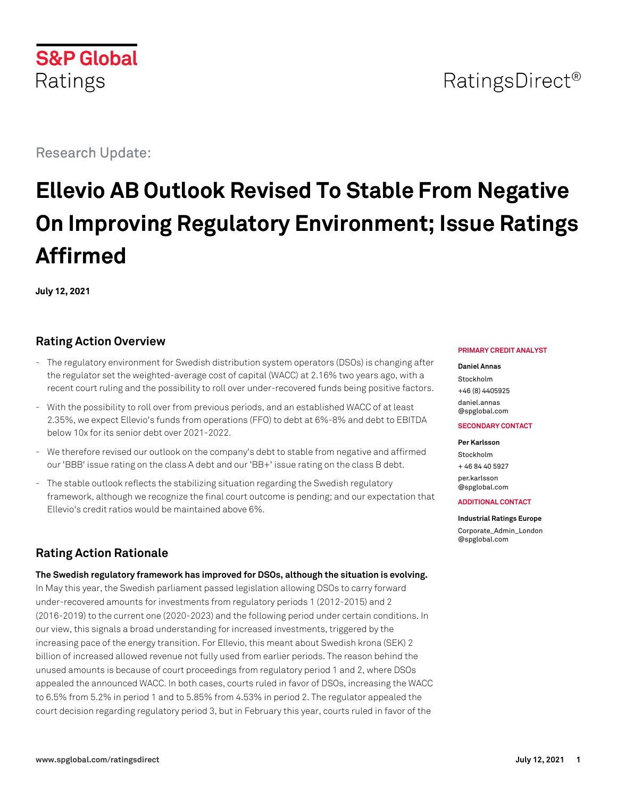# RatingsDirect<sup>®</sup>

Research Update:

# **Ellevio AB Outlook Revised To Stable From Negative On Improving Regulatory Environment; Issue Ratings Affirmed**

**July 12, 2021**

# **Rating Action Overview**

- The regulatory environment for Swedish distribution system operators (DSOs) is changing after the regulator set the weighted-average cost of capital (WACC) at 2.16% two years ago, with a recent court ruling and the possibility to roll over under-recovered funds being positive factors.
- With the possibility to roll over from previous periods, and an established WACC of at least 2.35%, we expect Ellevio's funds from operations (FFO) to debt at 6%-8% and debt to EBITDA below 10x for its senior debt over 2021-2022.
- We therefore revised our outlook on the company's debt to stable from negative and affirmed our 'BBB' issue rating on the class A debt and our 'BB+' issue rating on the class B debt.
- The stable outlook reflects the stabilizing situation regarding the Swedish regulatory framework, although we recognize the final court outcome is pending; and our expectation that Ellevio's credit ratios would be maintained above 6%.

# **Rating Action Rationale**

**The Swedish regulatory framework has improved for DSOs, although the situation is evolving.**

In May this year, the Swedish parliament passed legislation allowing DSOs to carry forward under-recovered amounts for investments from regulatory periods 1 (2012-2015) and 2 (2016-2019) to the current one (2020-2023) and the following period under certain conditions. In our view, this signals a broad understanding for increased investments, triggered by the increasing pace of the energy transition. For Ellevio, this meant about Swedish krona (SEK) 2 billion of increased allowed revenue not fully used from earlier periods. The reason behind the unused amounts is because of court proceedings from regulatory period 1 and 2, where DSOs appealed the announced WACC. In both cases, courts ruled in favor of DSOs, increasing the WACC to 6.5% from 5.2% in period 1 and to 5.85% from 4.53% in period 2. The regulator appealed the court decision regarding regulatory period 3, but in February this year, courts ruled in favor of the

#### **PRIMARY CREDIT ANALYST**

#### **Daniel Annas**

Stockholm +46 (8) 4405925 [daniel.annas](mailto:daniel.annas@spglobal.com) [@spglobal.com](mailto:daniel.annas@spglobal.com)

#### **SECONDARY CONTACT**

**Per Karlsson** Stockholm + 46 84 40 5927 [per.karlsson](mailto:per.karlsson@spglobal.com)

[@spglobal.com](mailto:per.karlsson@spglobal.com)

#### **ADDITIONAL CONTACT**

**Industrial Ratings Europe**

[Corporate\\_Admin\\_London](mailto:Corporate_Admin_London@spglobal.com) [@spglobal.com](mailto:Corporate_Admin_London@spglobal.com)

**S&P Global** Ratings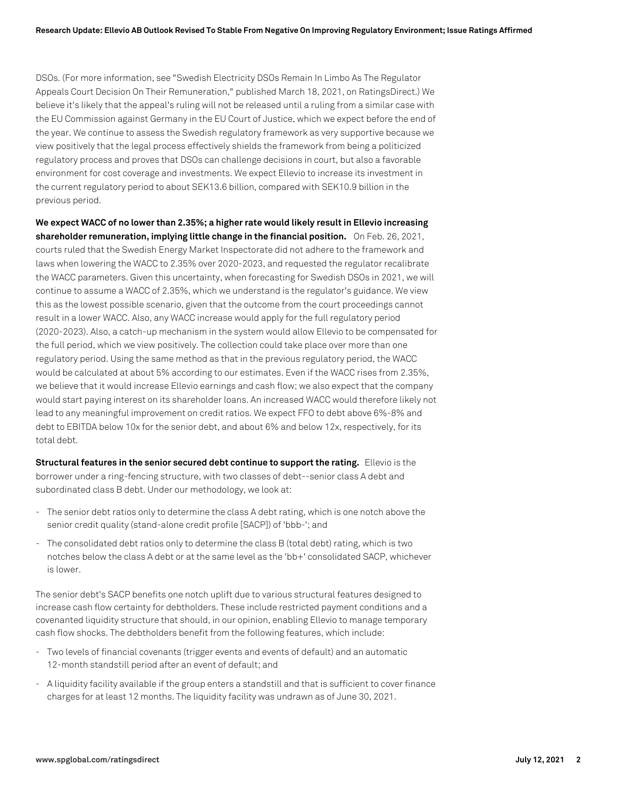DSOs. (For more information, see "Swedish Electricity DSOs Remain In Limbo As The Regulator Appeals Court Decision On Their Remuneration," published March 18, 2021, on RatingsDirect.) We believe it's likely that the appeal's ruling will not be released until a ruling from a similar case with the EU Commission against Germany in the EU Court of Justice, which we expect before the end of the year. We continue to assess the Swedish regulatory framework as very supportive because we view positively that the legal process effectively shields the framework from being a politicized regulatory process and proves that DSOs can challenge decisions in court, but also a favorable environment for cost coverage and investments. We expect Ellevio to increase its investment in the current regulatory period to about SEK13.6 billion, compared with SEK10.9 billion in the previous period.

**We expect WACC of no lower than 2.35%; a higher rate would likely result in Ellevio increasing shareholder remuneration, implying little change in the financial position.** On Feb. 26, 2021, courts ruled that the Swedish Energy Market Inspectorate did not adhere to the framework and laws when lowering the WACC to 2.35% over 2020-2023, and requested the regulator recalibrate the WACC parameters. Given this uncertainty, when forecasting for Swedish DSOs in 2021, we will continue to assume a WACC of 2.35%, which we understand is the regulator's guidance. We view this as the lowest possible scenario, given that the outcome from the court proceedings cannot result in a lower WACC. Also, any WACC increase would apply for the full regulatory period (2020-2023). Also, a catch-up mechanism in the system would allow Ellevio to be compensated for the full period, which we view positively. The collection could take place over more than one regulatory period. Using the same method as that in the previous regulatory period, the WACC would be calculated at about 5% according to our estimates. Even if the WACC rises from 2.35%, we believe that it would increase Ellevio earnings and cash flow; we also expect that the company would start paying interest on its shareholder loans. An increased WACC would therefore likely not lead to any meaningful improvement on credit ratios. We expect FFO to debt above 6%-8% and debt to EBITDA below 10x for the senior debt, and about 6% and below 12x, respectively, for its total debt.

**Structural features in the senior secured debt continue to support the rating.** Ellevio is the borrower under a ring-fencing structure, with two classes of debt--senior class A debt and subordinated class B debt. Under our methodology, we look at:

- The senior debt ratios only to determine the class A debt rating, which is one notch above the senior credit quality (stand-alone credit profile [SACP]) of 'bbb-'; and
- The consolidated debt ratios only to determine the class B (total debt) rating, which is two notches below the class A debt or at the same level as the 'bb+' consolidated SACP, whichever is lower.

The senior debt's SACP benefits one notch uplift due to various structural features designed to increase cash flow certainty for debtholders. These include restricted payment conditions and a covenanted liquidity structure that should, in our opinion, enabling Ellevio to manage temporary cash flow shocks. The debtholders benefit from the following features, which include:

- Two levels of financial covenants (trigger events and events of default) and an automatic 12-month standstill period after an event of default; and
- A liquidity facility available if the group enters a standstill and that is sufficient to cover finance charges for at least 12 months. The liquidity facility was undrawn as of June 30, 2021.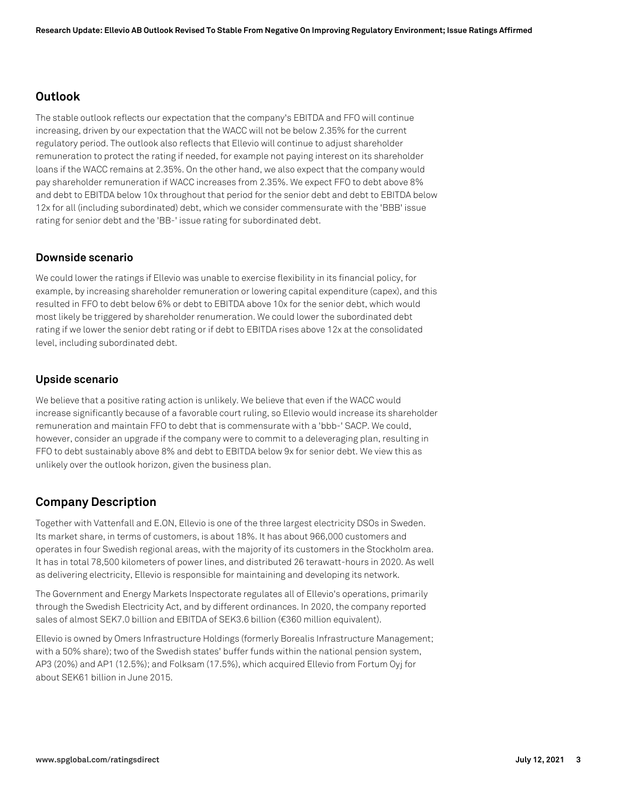## **Outlook**

The stable outlook reflects our expectation that the company's EBITDA and FFO will continue increasing, driven by our expectation that the WACC will not be below 2.35% for the current regulatory period. The outlook also reflects that Ellevio will continue to adjust shareholder remuneration to protect the rating if needed, for example not paying interest on its shareholder loans if the WACC remains at 2.35%. On the other hand, we also expect that the company would pay shareholder remuneration if WACC increases from 2.35%. We expect FFO to debt above 8% and debt to EBITDA below 10x throughout that period for the senior debt and debt to EBITDA below 12x for all (including subordinated) debt, which we consider commensurate with the 'BBB' issue rating for senior debt and the 'BB-' issue rating for subordinated debt.

## **Downside scenario**

We could lower the ratings if Ellevio was unable to exercise flexibility in its financial policy, for example, by increasing shareholder remuneration or lowering capital expenditure (capex), and this resulted in FFO to debt below 6% or debt to EBITDA above 10x for the senior debt, which would most likely be triggered by shareholder renumeration. We could lower the subordinated debt rating if we lower the senior debt rating or if debt to EBITDA rises above 12x at the consolidated level, including subordinated debt.

## **Upside scenario**

We believe that a positive rating action is unlikely. We believe that even if the WACC would increase significantly because of a favorable court ruling, so Ellevio would increase its shareholder remuneration and maintain FFO to debt that is commensurate with a 'bbb-' SACP. We could, however, consider an upgrade if the company were to commit to a deleveraging plan, resulting in FFO to debt sustainably above 8% and debt to EBITDA below 9x for senior debt. We view this as unlikely over the outlook horizon, given the business plan.

# **Company Description**

Together with Vattenfall and E.ON, Ellevio is one of the three largest electricity DSOs in Sweden. Its market share, in terms of customers, is about 18%. It has about 966,000 customers and operates in four Swedish regional areas, with the majority of its customers in the Stockholm area. It has in total 78,500 kilometers of power lines, and distributed 26 terawatt-hours in 2020. As well as delivering electricity, Ellevio is responsible for maintaining and developing its network.

The Government and Energy Markets Inspectorate regulates all of Ellevio's operations, primarily through the Swedish Electricity Act, and by different ordinances. In 2020, the company reported sales of almost SEK7.0 billion and EBITDA of SEK3.6 billion (€360 million equivalent).

Ellevio is owned by Omers Infrastructure Holdings (formerly Borealis Infrastructure Management; with a 50% share); two of the Swedish states' buffer funds within the national pension system, AP3 (20%) and AP1 (12.5%); and Folksam (17.5%), which acquired Ellevio from Fortum Oyj for about SEK61 billion in June 2015.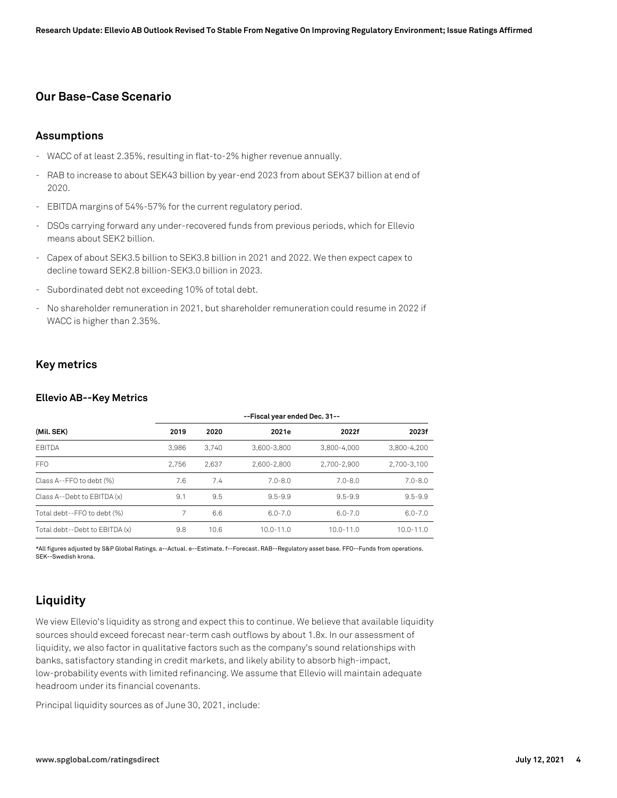## **Our Base-Case Scenario**

#### **Assumptions**

- WACC of at least 2.35%, resulting in flat-to-2% higher revenue annually.
- RAB to increase to about SEK43 billion by year-end 2023 from about SEK37 billion at end of 2020.
- EBITDA margins of 54%-57% for the current regulatory period.
- DSOs carrying forward any under-recovered funds from previous periods, which for Ellevio means about SEK2 billion.
- Capex of about SEK3.5 billion to SEK3.8 billion in 2021 and 2022. We then expect capex to decline toward SEK2.8 billion-SEK3.0 billion in 2023.
- Subordinated debt not exceeding 10% of total debt.
- No shareholder remuneration in 2021, but shareholder remuneration could resume in 2022 if WACC is higher than 2.35%.

## **Key metrics**

#### **Ellevio AB--Key Metrics**

|                                | --Fiscal year ended Dec. 31-- |       |               |               |               |  |
|--------------------------------|-------------------------------|-------|---------------|---------------|---------------|--|
| (Mil. SEK)                     | 2019                          | 2020  | 2021e         | 2022f         | 2023f         |  |
| <b>EBITDA</b>                  | 3.986                         | 3.740 | 3.600-3.800   | 3.800-4.000   | 3.800-4.200   |  |
| FFO                            | 2.756                         | 2.637 | 2.600-2.800   | 2.700-2.900   | 2,700-3,100   |  |
| Class A--FFO to debt (%)       | 7.6                           | 7.4   | $7.0 - 8.0$   | $7.0 - 8.0$   | $7.0 - 8.0$   |  |
| Class A--Debt to EBITDA (x)    | 9.1                           | 9.5   | $9.5 - 9.9$   | $9.5 - 9.9$   | $9.5 - 9.9$   |  |
| Total debt--FFO to debt (%)    |                               | 6.6   | $6.0 - 7.0$   | $6.0 - 7.0$   | $6.0 - 7.0$   |  |
| Total debt--Debt to EBITDA (x) | 9.8                           | 10.6  | $10.0 - 11.0$ | $10.0 - 11.0$ | $10.0 - 11.0$ |  |

\*All figures adjusted by S&P Global Ratings. a--Actual. e--Estimate. f--Forecast. RAB--Regulatory asset base. FFO--Funds from operations. SEK--Swedish krona.

# **Liquidity**

We view Ellevio's liquidity as strong and expect this to continue. We believe that available liquidity sources should exceed forecast near-term cash outflows by about 1.8x. In our assessment of liquidity, we also factor in qualitative factors such as the company's sound relationships with banks, satisfactory standing in credit markets, and likely ability to absorb high-impact, low-probability events with limited refinancing. We assume that Ellevio will maintain adequate headroom under its financial covenants.

Principal liquidity sources as of June 30, 2021, include: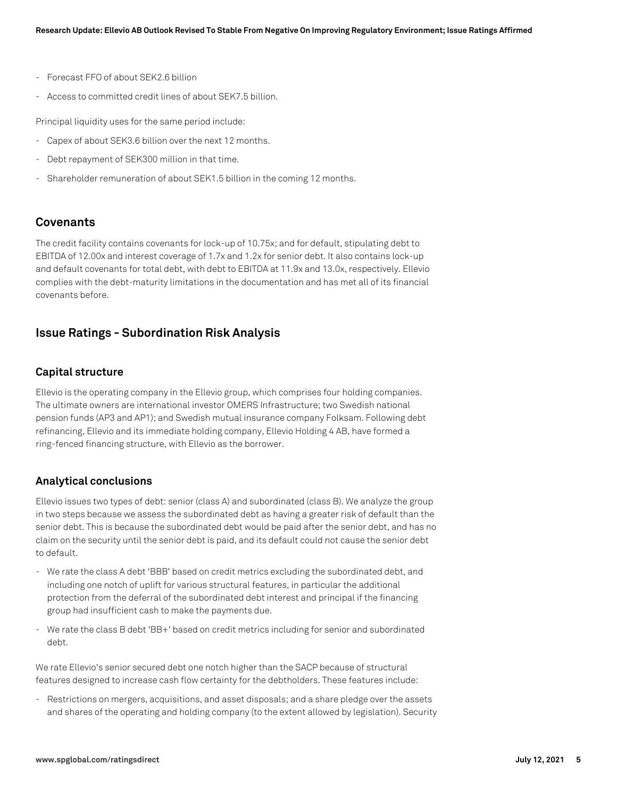- Forecast FFO of about SEK2.6 billion
- Access to committed credit lines of about SEK7.5 billion.

Principal liquidity uses for the same period include:

- Capex of about SEK3.6 billion over the next 12 months.
- Debt repayment of SEK300 million in that time.
- Shareholder remuneration of about SEK1.5 billion in the coming 12 months.

## **Covenants**

The credit facility contains covenants for lock-up of 10.75x; and for default, stipulating debt to EBITDA of 12.00x and interest coverage of 1.7x and 1.2x for senior debt. It also contains lock-up and default covenants for total debt, with debt to EBITDA at 11.9x and 13.0x, respectively. Ellevio complies with the debt-maturity limitations in the documentation and has met all of its financial covenants before.

## **Issue Ratings - Subordination Risk Analysis**

## **Capital structure**

Ellevio is the operating company in the Ellevio group, which comprises four holding companies. The ultimate owners are international investor OMERS Infrastructure; two Swedish national pension funds (AP3 and AP1); and Swedish mutual insurance company Folksam. Following debt refinancing, Ellevio and its immediate holding company, Ellevio Holding 4 AB, have formed a ring-fenced financing structure, with Ellevio as the borrower.

#### **Analytical conclusions**

Ellevio issues two types of debt: senior (class A) and subordinated (class B). We analyze the group in two steps because we assess the subordinated debt as having a greater risk of default than the senior debt. This is because the subordinated debt would be paid after the senior debt, and has no claim on the security until the senior debt is paid, and its default could not cause the senior debt to default.

- We rate the class A debt 'BBB' based on credit metrics excluding the subordinated debt, and including one notch of uplift for various structural features, in particular the additional protection from the deferral of the subordinated debt interest and principal if the financing group had insufficient cash to make the payments due.
- We rate the class B debt 'BB+' based on credit metrics including for senior and subordinated debt.

We rate Ellevio's senior secured debt one notch higher than the SACP because of structural features designed to increase cash flow certainty for the debtholders. These features include:

- Restrictions on mergers, acquisitions, and asset disposals; and a share pledge over the assets and shares of the operating and holding company (to the extent allowed by legislation). Security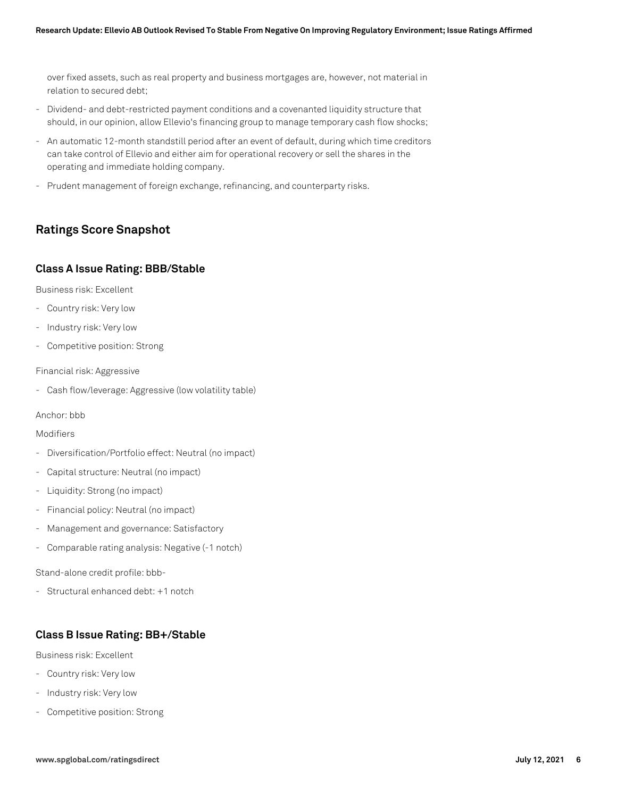over fixed assets, such as real property and business mortgages are, however, not material in relation to secured debt;

- Dividend- and debt-restricted payment conditions and a covenanted liquidity structure that should, in our opinion, allow Ellevio's financing group to manage temporary cash flow shocks;
- An automatic 12-month standstill period after an event of default, during which time creditors can take control of Ellevio and either aim for operational recovery or sell the shares in the operating and immediate holding company.
- Prudent management of foreign exchange, refinancing, and counterparty risks.

# **Ratings Score Snapshot**

## **Class A Issue Rating: BBB/Stable**

Business risk: Excellent

- Country risk: Very low
- Industry risk: Very low
- Competitive position: Strong

Financial risk: Aggressive

- Cash flow/leverage: Aggressive (low volatility table)

Anchor: bbb

#### Modifiers

- Diversification/Portfolio effect: Neutral (no impact)
- Capital structure: Neutral (no impact)
- Liquidity: Strong (no impact)
- Financial policy: Neutral (no impact)
- Management and governance: Satisfactory
- Comparable rating analysis: Negative (-1 notch)

Stand-alone credit profile: bbb-

- Structural enhanced debt: +1 notch

## **Class B Issue Rating: BB+/Stable**

Business risk: Excellent

- Country risk: Very low
- Industry risk: Very low
- Competitive position: Strong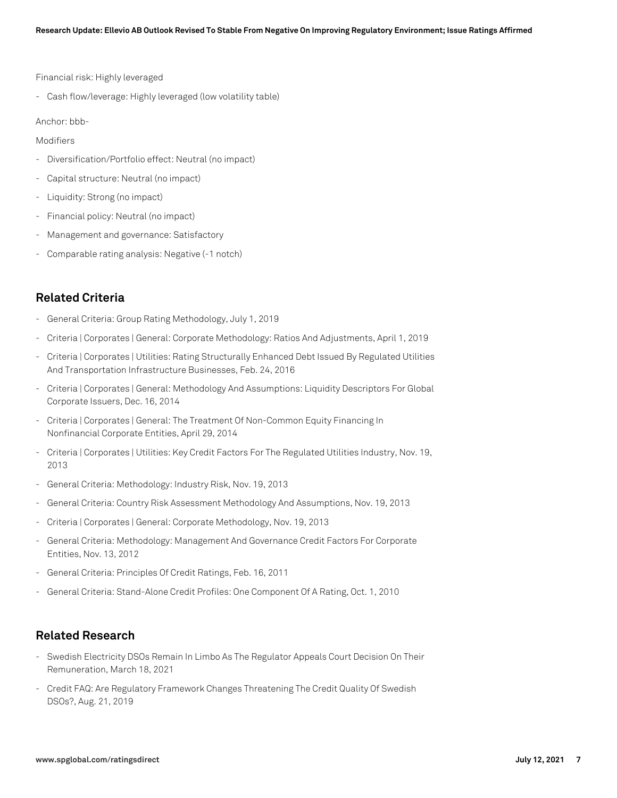Financial risk: Highly leveraged

- Cash flow/leverage: Highly leveraged (low volatility table)

Anchor: bbb-

Modifiers

- Diversification/Portfolio effect: Neutral (no impact)
- Capital structure: Neutral (no impact)
- Liquidity: Strong (no impact)
- Financial policy: Neutral (no impact)
- Management and governance: Satisfactory
- Comparable rating analysis: Negative (-1 notch)

# **Related Criteria**

- General Criteria: Group Rating Methodology, July 1, 2019
- Criteria | Corporates | General: Corporate Methodology: Ratios And Adjustments, April 1, 2019
- Criteria | Corporates | Utilities: Rating Structurally Enhanced Debt Issued By Regulated Utilities And Transportation Infrastructure Businesses, Feb. 24, 2016
- Criteria | Corporates | General: Methodology And Assumptions: Liquidity Descriptors For Global Corporate Issuers, Dec. 16, 2014
- Criteria | Corporates | General: The Treatment Of Non-Common Equity Financing In Nonfinancial Corporate Entities, April 29, 2014
- Criteria | Corporates | Utilities: Key Credit Factors For The Regulated Utilities Industry, Nov. 19, 2013
- General Criteria: Methodology: Industry Risk, Nov. 19, 2013
- General Criteria: Country Risk Assessment Methodology And Assumptions, Nov. 19, 2013
- Criteria | Corporates | General: Corporate Methodology, Nov. 19, 2013
- General Criteria: Methodology: Management And Governance Credit Factors For Corporate Entities, Nov. 13, 2012
- General Criteria: Principles Of Credit Ratings, Feb. 16, 2011
- General Criteria: Stand-Alone Credit Profiles: One Component Of A Rating, Oct. 1, 2010

# **Related Research**

- Swedish Electricity DSOs Remain In Limbo As The Regulator Appeals Court Decision On Their Remuneration, March 18, 2021
- Credit FAQ: Are Regulatory Framework Changes Threatening The Credit Quality Of Swedish DSOs?, Aug. 21, 2019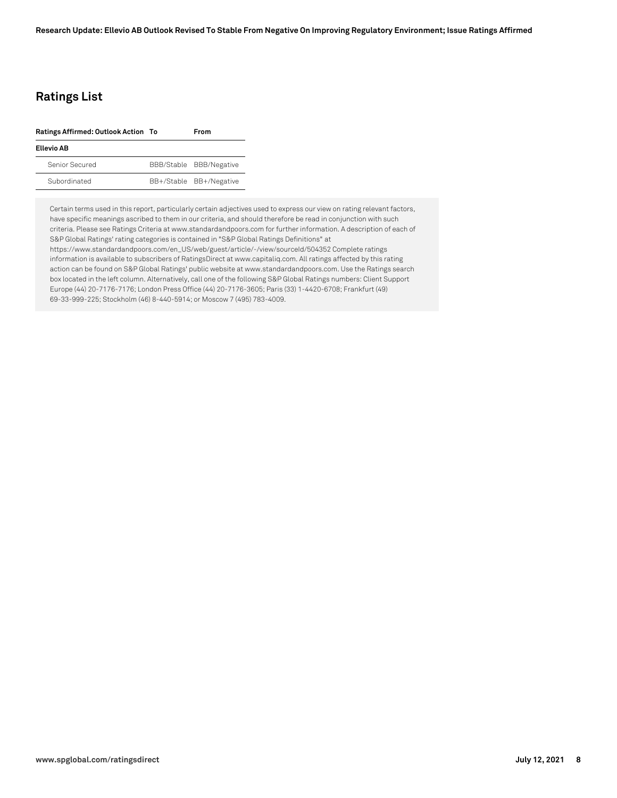# **Ratings List**

| Ratings Affirmed: Outlook Action To | <b>From</b>             |  |
|-------------------------------------|-------------------------|--|
| <b>Ellevio AB</b>                   |                         |  |
| Senior Secured                      | BBB/Stable BBB/Negative |  |
| Subordinated                        | BB+/Stable BB+/Negative |  |

Certain terms used in this report, particularly certain adjectives used to express our view on rating relevant factors, have specific meanings ascribed to them in our criteria, and should therefore be read in conjunction with such criteria. Please see Ratings Criteria at www.standardandpoors.com for further information. A description of each of S&P Global Ratings' rating categories is contained in "S&P Global Ratings Definitions" at https://www.standardandpoors.com/en\_US/web/guest/article/-/view/sourceId/504352 Complete ratings information is available to subscribers of RatingsDirect at www.capitaliq.com. All ratings affected by this rating action can be found on S&P Global Ratings' public website at www.standardandpoors.com. Use the Ratings search box located in the left column. Alternatively, call one of the following S&P Global Ratings numbers: Client Support Europe (44) 20-7176-7176; London Press Office (44) 20-7176-3605; Paris (33) 1-4420-6708; Frankfurt (49) 69-33-999-225; Stockholm (46) 8-440-5914; or Moscow 7 (495) 783-4009.